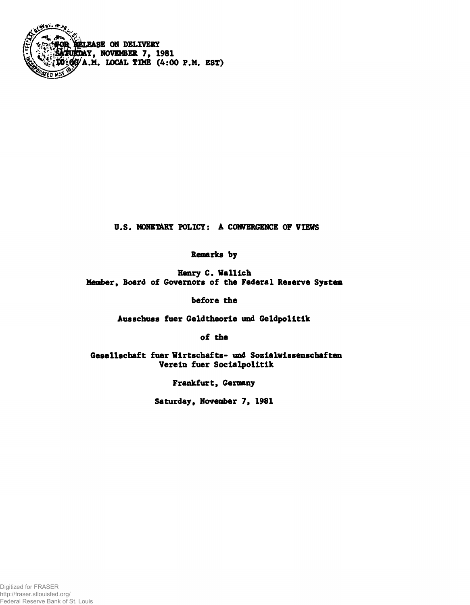

**U.S. MONETARY POLICY: A CONVERGENCE OF VIEHS**

**Remarks by**

**Henry C. Wallich Member, Board of Governors of the Federal Reserve System**

**before the**

**Ausschuss fuer Geldtheorie und Geldpolitik**

**of the**

**Gesellschaft fuer Wirtschafts- und Sozialwissenschaften Verein fuer Socialpolitik**

**Frankfurt, Germany**

**Saturday, November 7, 1981**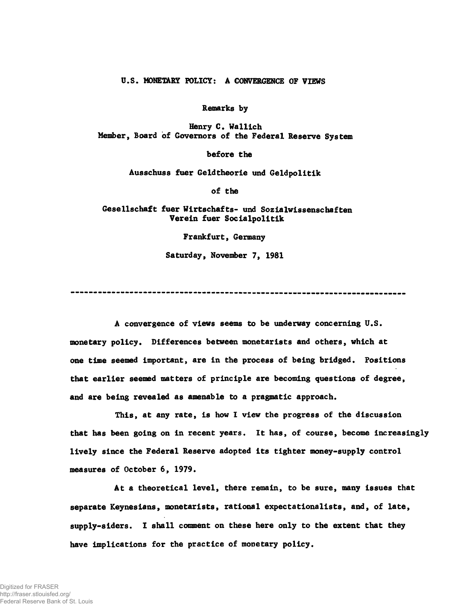## **U.S. MONETARY POLICY: A CONVERGENCE OF VIEWS**

**Remarks by**

**Henry C. Wallich Member, Board of Governors of the Federal Reserve System**

**before the**

**Ausschuss fuer Geldtheorie und Geldpolitik**

**of the**

**Gesellschaft fuer Wirtschafts- und Sozialvissenschaften Verein fuer Socialpolitik**

**Frankfurt, Germany**

**Saturday, November 7, 1981**

**A convergence of views seems to be underway concerning U.S. monetary policy. Differences between monetarists and others, which at one time seemed important, are in the process of being bridged. Positions that earlier seemed matters of principle are becoming questions of degree, and are being revealed as amenable to a pragmatic approach.**

**This, at any rate, is how I view the progress of the discussion that has been going on in recent years. It has, of course, become increasingly lively since the Federal Reserve adopted its tighter money-supply control measures of October 6, 1979.**

**At a theoretical level, there remain, to be sure, many issues that separate Keynesians, monetarists, rational expectationalists, and, of late, supply-siders. I shall comment on these here only to the extent that they have implications for the practice of monetary policy.**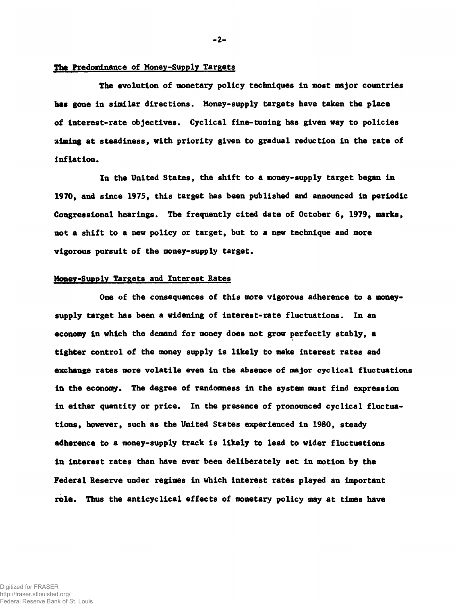# **The Predominance of Money-Supply Targets**

**The evolution of monetary policy techniques in most major countries has gone in similar directions. Money-supply targets have taken the place of interest-rate objectives. Cyclical fine-tuning has given way to policies aiming at steadiness, with priority given to gradual reduction in the rate of inflation.**

**In the United States, the shift to a money-supply target began in 1970, and since 1975, this target has been published and announced in periodic Congressional hearings. The frequently cited date of October 6, 1979, marks, not a shift to a new policy or target, but to a new technique and more vigorous pursuit of the money-supply target.**

#### **Monev-Supplv Targets and Interest Rates**

**One of the consequences of this more vigorous adherence to a moneysupply target has been a widening of interest-rate fluctuations. In an economy in which the demand for money does not grow perfectly stably, a tighter control of the money supply is likely to make interest rates and exchange rates more volatile even in the absence of major cyclical fluctuations in the economy. The degree of randomness in the system must find expression in either quantity or price. In the presence of pronounced cyclical fluctuations, however, such as the United States experienced in 1980, steady adherence to a money-supply track is likely to lead to wider fluctuations in interest rates than have ever been deliberately set in motion by the Federal Reserve under regimes in which interest rates played an important role. Thus the anticyclical effects of monetary policy may at times have**

**-2-**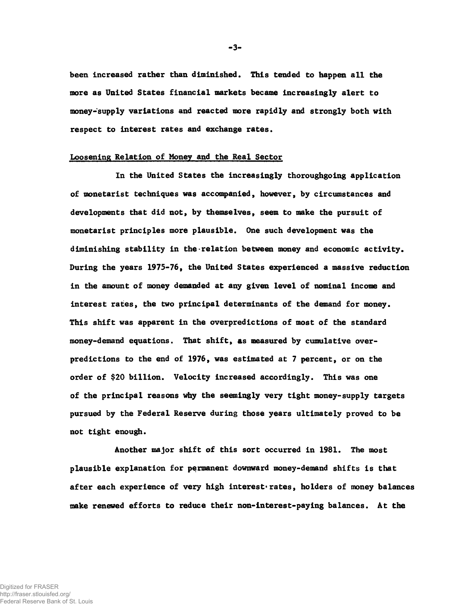**been increased rather than diminished. This tended to happen all the more as United States financial markets became increasingly alert to money-supply variations and reacted more rapidly and strongly both with respect to interest rates and exchange rates.**

#### **Loosening Relation of Money and the Real Sector**

**In the United States the increasingly thoroughgoing application of monetarist techniques was accompanied, however, by circumstances and developments that did not, by themselves, seem to make the pursuit of monetarist principles more plausible. One such development was the diminishing stability in the-relation between money and economic activity. During the years 1975-76, the United States experienced a massive reduction in the amount of money demanded at any given level of nominal income and interest rates, the two principal determinants of the demand for money. This shift was apparent in the overpredictions of most of the standard money-demand equations. That shift, as measured by cumulative overpredictions to the end of 1976, was estimated at 7 percent, or on the order of \$20 billion. Velocity increased accordingly. This was one of the principal reasons why the seemingly very tight money-supply targets pursued by the Federal Reserve during those years ultimately proved to be** not tight enough.

**Another major shift of this sort occurred in 1981. The most plausible explanation for permanent downward money-demand shifts is that** after each experience of very high interest rates, holders of money balances **make renewed efforts to reduce their non-interest-paying balances. At the**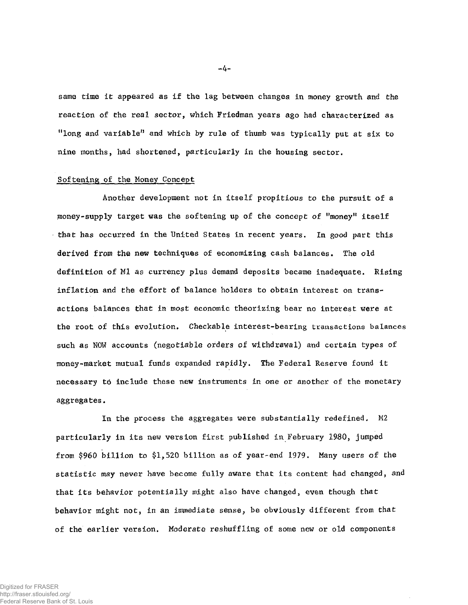same time it appeared as if the lag between changes in money growth and the reaction of the real sector, which Friedman years ago had characterized as "long and variable" and which by rule of thumb was typically put at six to nine months, had shortened, particularly in the housing sector.

#### Softening of the Honey Concept

Another development not in itself propitious to the pursuit of a money-supply target was the softening up of the concept of "money" itself that has occurred in the United States in recent years. In good part this derived from the new techniques of economizing cash balances. The old definition of Ml as currency plus demand deposits became inadequate. Rising inflation and the effort of balance holders to obtain interest on transactions balances that in most economic theorizing bear no interest were at the root of this evolution. Checkable interest-bearing transactions balances such as NOW accounts (negotiable orders of withdrawal) and certain types of money-market mutual funds expanded rapidly. The Federal Reserve found it necessary to include these new instruments in one or another of the monetary aggregates.

In the process the aggregates were substantially redefined, M2 particularly in its new version first published in February 1980, jumped from \$960 billion to \$1,520 billion as of year-end 1979. Many users of the statistic may never have become fully aware that its content had changed, and that its behavior potentially might also have changed, even though that behavior might not, in an immediate sense, be obviously different from that of the earlier version. Moderate reshuffling of some new or old components

 $-4-$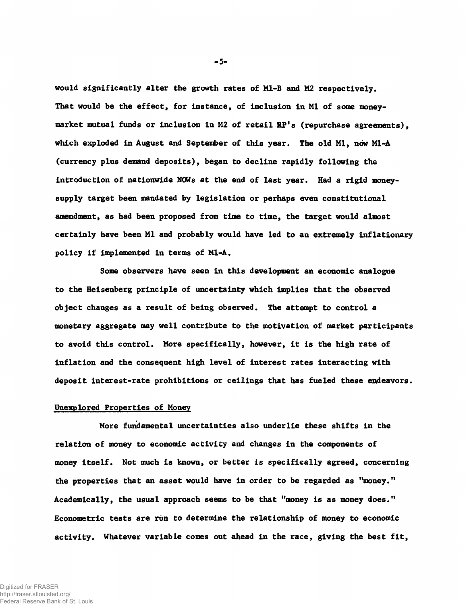**would significantly alter the growth rates of Ml-B and M2 respectively. That would be the effect, for instance, of inclusion in Ml of some moneymarket mutual funds or inclusion in M2 of retail RP's (repurchase agreements), which exploded in August and Septenfcer of this year. The old Ml, now Ml-A (currency plus demand deposits), began to decline rapidly following the introduction of nationwide NOWs at the end of last year. Had a rigid moneysupply target been mandated by legislation or perhaps even constitutional amendment, as had been proposed from time to time, the target would almost certainly have been Ml and probably would have led to an extremely inflationary policy if implemented in terms of Ml-A.**

**Some observers have seen in this development an economic analogue to the Heisenberg principle of uncertainty which implies that the observed object changes as a result of being observed. The attempt to control a monetary aggregate may well contribute to the motivation of market participants to avoid this control. More specifically, however, it is the high rate of inflation and the consequent high level of interest rates interacting with deposit interest-rate prohibitions or ceilings that has fueled these endeavors.**

#### **Unexplored Properties of Money**

**More fundamental uncertainties also underlie these shifts in the relation of money to economic activity and changes in the components of money itself. Not much is known, or better is specifically agreed, concerning the properties that an asset would have in order to be regarded as "money." Academically, the usual approach seems to be that "money is as money does." Econometric tests are rim to determine the relationship of money to economic activity. Whatever variable comes out ahead in the race, giving the best fit,**

**-5-**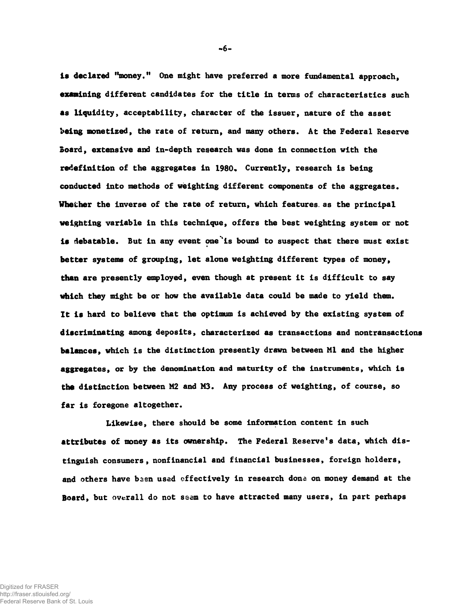**is declared "money." One might have preferred a more fundamental approach, examining different candidates for the title in terms of characteristics such as liquidity, acceptability, character of the issuer, nature of the asset being monetized, the rate of return, and many others. At the Federal Reserve Board, extensive and in-depth research was done in connection with the** redefinition of the aggregates in 1980, Currently, research is being **conducted into methods of weighting different components of the aggregates. Whether the inverse of the rate of return, which features, as the principal weighting variable in this technique, offers the best weighting system or not is debatable. But in any event one \*is bound to suspect that there must exist better systems of grouping, let alone weighting different types of money, than are presently employed, even though at present it is difficult to say which they might be or how the available data could be made to yield them. It is hard to believe that the optimum is achieved by the existing system of discriminating among deposits, characterized as transactions and nontransactions balances, which is the distinction presently drawn between Ml and the higher aggregates, or by the denomination and maturity of the instruments, which is the distinction between M2 and M3. Any process of weighting, of course, so far is foregone altogether.**

**Likewise, there should be some information content in such attributes of money as its ownership. The Federal Reserve's data, which distinguish consumers , nonfinancial and financial businesses, foreign holders,** and others have been used effectively in research done on money demand at the **Board, but overall do not ssem to have attracted many users, in part perhaps**

**-6-**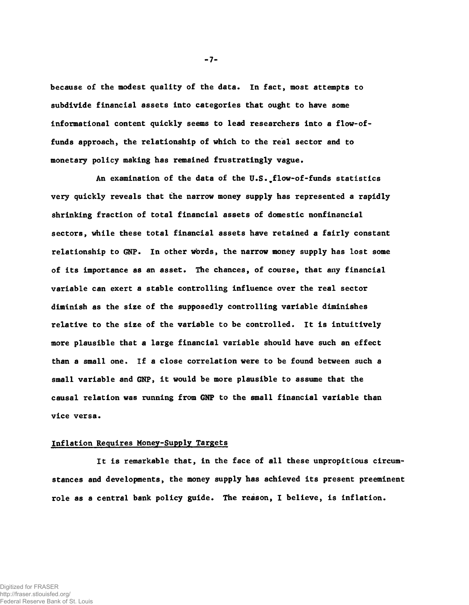because of the modest quality of the data. In fact, most attempts to subdivide financial assets into categories that ought to have some informational content quickly seems to lead researchers into a flow-offunds approach, the relationship of which to the real sector and to monetary policy making has remained frustratingly vague.

An examination of the data of the U.S. flow-of-funds statistics very quickly reveals that the narrow money supply has represented a rapidly shrinking fraction of total financial assets of domestic nonfinancial sectors, while these total financial assets have retained a fairly constant relationship to GNP. In other words, the narrow money supply has lost some of its importance as an asset. The chances, of course, that any financial variable can exert a stable controlling influence over the real sector diminish as the size of the supposedly controlling variable diminishes relative to the size of the variable to be controlled. It is intuitively more plausible that a large financial variable should have such an effect than a small one. If a close correlation were to be found between such a small variable and GNP, it would be more plausible to assume that the causal relation was running from GNP to the small financial variable than vice versa.

# Inflation Requires Money-Supply Targets

It is remarkable that, in the face of all these unpropitious circumstances and developments, the money supply has achieved its present preeminent role as a central bank policy guide. The reason, I believe, is inflation.

 $-7-$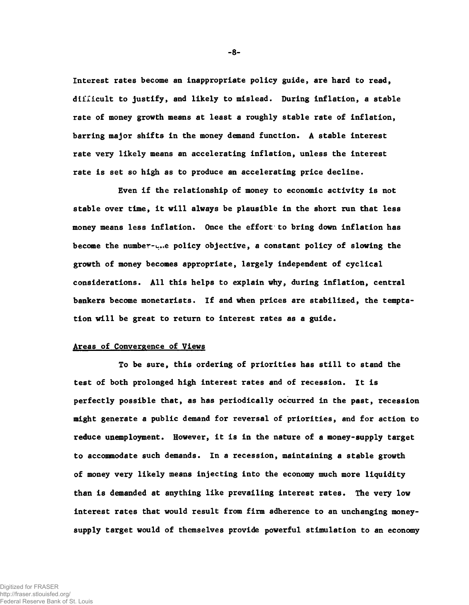Interest rates become an inappropriate policy guide, are hard to read, difficult to justify, and likely to mislead. During inflation, a stable rate of money growth means at least a roughly stable rate of inflation, barring major shifts in the money demand function. A stable interest rate very likely means an accelerating inflation, unless the interest rate is set so high as to produce an accelerating price decline.

Even if the relationship of money to economic activity is not stable over time, it will always be plausible in the short run that less money means less inflation. Once the effort to bring down inflation has become the number-policy objective, a constant policy of slowing the growth of money becomes appropriate, largely independent of cyclical considerations. All this helps to explain why, during inflation, central bankers become monetarists. If and when prices are stabilized, the temptation will be great to return to interest rates as a guide.

### Areas of Convergence of Views

To be sure, this ordering of priorities has still to stand the test of both prolonged high interest rates and of recession. It is perfectly possible that, as has periodically occurred in the past, recession might generate a public demand for reversal of priorities, and for action to reduce unemployment. However, it is in the nature of a money-supply target to accommodate such demands. In a recession, maintaining a stable growth of money very likely means injecting into the economy much more liquidity than is demanded at anything like prevailing interest rates. The very low interest rates that would result from firm adherence to an unchanging moneysupply target would of themselves provide powerful stimulation to an economy

**-8-**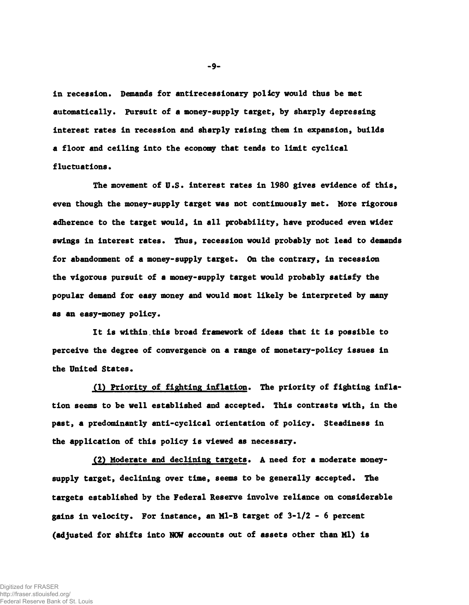**in recession. Demands for antirecessionary policy would thus be met automatically. Pursuit of a money-supply target, by sharply depressing interest rates in recession and sharply raising them in expansion, builds a floor and ceiling into the economy that tends to limit cyclical fluctuations.**

**The movement of U.S. interest rates in 1980 gives evidence of this, even though the money-supply target was not continuously met. More rigorous adherence to the target would, in all probability, have produced even wider swings in interest rates. Thus, recession would probably not lead to demands for abandonment of a money-supply target. On the contrary, in recession the vigorous pursuit of a money-supply target would probably satisfy the popular demand for easy money and would most likely be interpreted by many** as an easy-money policy.

**It is within.this broad framework of ideas that it is possible to perceive the degree of convergence on a range of monetary-policy issues in the United States.**

**(1) Priority of fighting inflation. The priority of fighting inflation seems to be well established and accepted. This contrasts with, in the past, a predominantly anti-cyclical orientation of policy. Steadiness in the application of this policy is viewed as necessary.**

**(2) Moderate and declining targets. A need for a moderate moneysupply target, declining over time, seems to be generally accepted. The targets established by the Federal Reserve involve reliance on considerable gains in velocity. For instance, an Ml-B target of 3-1/2 - 6 percent (adjusted for shifts into MOW accounts out of assets other than Ml) is**

**-9-**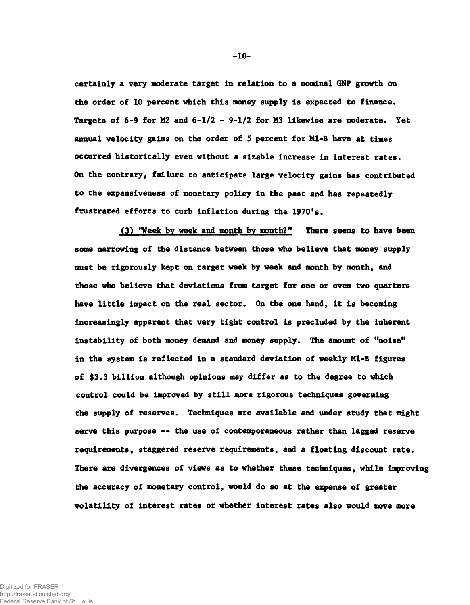**certainly a very moderate target In relation to a nominal GNP growth on the order of 10 percent which this money supply is expected to finance. Targets of 6-9 for M2 and 6-1/2 - 9-1/2 for M3 likewise are moderate. Yet annual velocity gains on the order of 5 percent for Ml-B have at times occurred historically even without a sizable increase in interest rates. On the contrary, failure to anticipate large velocity gains has contributed to the expansiveness of monetary policy in the past and has repeatedly frustrated efforts to curb inflation during the 1970's.**

**(3) "Week by week and month by month?" There seems to have been some narrowing of the distance between those who believe that money supply must be rigorously kept on target week by week and month by month, and those who believe that deviations from target for one or even two quarters** have little impact on the real sector. On the one hand, it is becoming **increasingly apparent that very tight control is precluded by the inherent instability of both money demand and money supply. The amount of "noise" in the system is reflected in a standard deviation of weekly Ml-B figures of \$3.3 billion although opinions may differ as to the degree to which control could be improved by still more rigorous techniques governing the supply of reserves. Techniques are available and under study that might serve this purpose -- the use of contemporaneous rather than lagged reserve requirements, staggered reserve requirements, and a floating discount rate. There are divergences of views as to whether these techniques, while improving the accuracy of monetary control, would do so at the expense of greater volatility of interest rates or whether interest rates also would move more**

**-10-**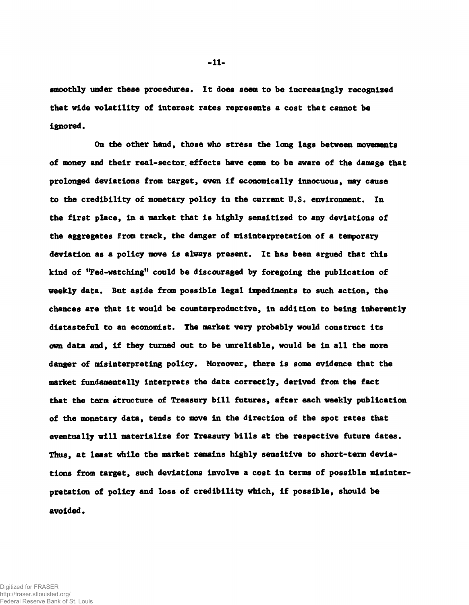**smoothly under these procedures. It does seem to be increasingly recognized that vide volatility of interest rates represents a cost that cannot be ignored.**

**On the other hand, those who stress the long lags between movements of money and their real-sec tor. effects have eome to be aware of the damage that prolonged deviations from target, even if economically innocuous, may cause to the credibility of monetary policy in the current U.S. environment. In the first place, in a market that is highly sensitized to any deviations of the aggregates from track, the danger of misinterpretation of a temporary deviation as a policy move is always present. It has been argued that this kind of "Fed-watching" could be discouraged by foregoing the publication of weekly data. But aside from possible legal impediments to such action, the chances are that it would be counterproductive, in addition to being inherently distasteful to an economist. The market very probably would construct its own data and, if they turned out to be unreliable, would be in all the more danger of misinterpreting policy. Moreover, there is some evidence that the market fundamentally interprets the data correctly, derived from the fact that the term structure of Treasury bill futures, after each weekly publication of the monetary data, tends to move in the direction of the spot rates that eventually will materialize for Treasury bills at the respective future dates. Thus, at least while the market remains highly sensitive to short-term deviations from target, such deviations involve a cost in terms of possible misinterpretation of policy and loss of credibility which, if possible, should be avoided.**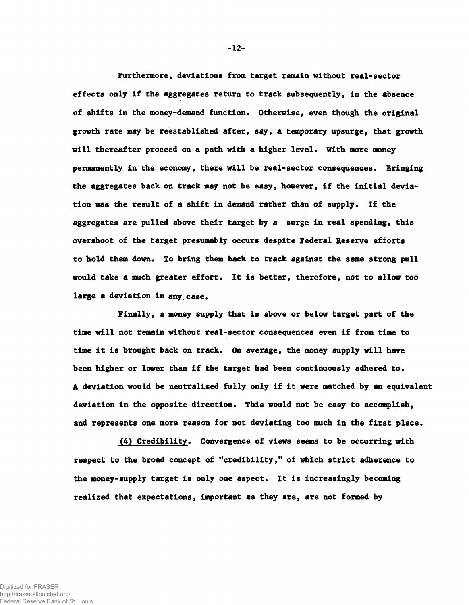**Fur themore, deviations from target remain without real-sector effects only if the aggregates return to track subsequently, in the absence of shifts in the money-demand function. Otherwise, even though the original growth rate may be reestablished after, say, a temporary upsurge, that growth will thereafter proceed on a path with a higher level. With more money permanently in the economy, there will be real-sector consequences. Bringing the aggregates back on track may not be easy, however, if the initial deviation was the result of a shift in demand rather than of supply. If the aggregates are pulled above their target by a surge in real spending, this overshoot of the target presumably occurs despite Federal Reserve efforts to hold them down. To bring them back to track against the same strong pull would take a much greater effort. It is better, therefore, not to allow too large a deviation in any case.**

**Finally, a money supply that is above or below target part of the time will not remain without real-sector consequences even if from time to time it is brought back on track. On average, the money supply will have been higher or lower than if the target had been continuously adhered to. A deviation would be neutralized fully only if it were matched by an equivalent deviation in the opposite direction. This would not be easy to accomplish, and represents one more reason for not deviating too much in the first place.**

**(4) Credibility. Convergence of views seems to be occurring with respect to the broad concept of "credibility," of which strict adherence to the money-supply target is only one aspect. It is increasingly becoming realized that expectations, important as they are, are not formed by**

**-12-**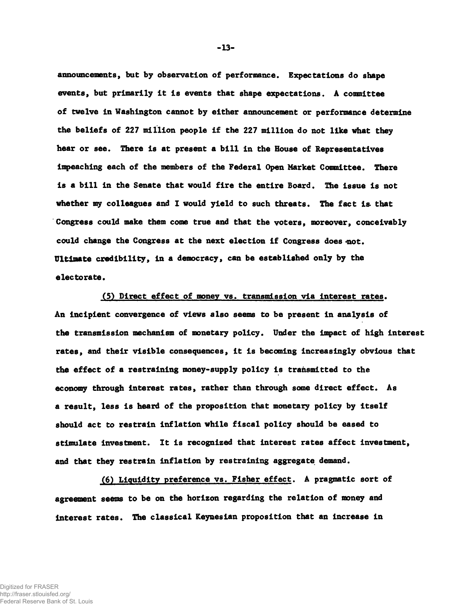**announcements, but by observation of performance. Expectations do shape events, but primarily it is events that shape expectations. A committee of twelve in Washington cannot by either announcement or performance determine the beliefs of 227 million people if the 227 million do not like what they hear or see. There is at present a bill in the House of Representatives impeaching each of the members of the Federal Open Market Committee. There is a bill in the Senate that would fire the entire Board. The issue is not whether my colleagues and I would yield to such threats. The fact is. that Congress could make them come true and that the voters, moreover, conceivably** could change the Congress at the next election if Congress does not. **Ultimate credibility, in a democracy, can be established only by the electorate.**

**(5) Direct effect of money vs. transmission via interest rates. An incipient convergence of views also seems to be present in analysis of the transmission mechanism of monetary policy. Under the impact of high interest rates, and their visible consequences, it is becoming increasingly obvious that the effect of a restraining money-supply policy is transmitted to the economy through interest rates, rather than through some direct effect. As a result, less is heard of the proposition that monetary policy by itself should act to restrain inflation while fiscal policy should be eased to stimulate investment. It is recognized that interest rates affect investment, and that they restrain inflation by restraining aggregate demand.**

**(6) Liquidity preference vs. Fisher effect. A pragmatic sort of agreement seems to be on the horizon regarding the relation of money and interest rates. The classical Keynesian proposition that an increase in**

Digitized for FRASER http://fraser.stlouisfed.org/ Federal Reserve Bank of St. Louis  $-13-$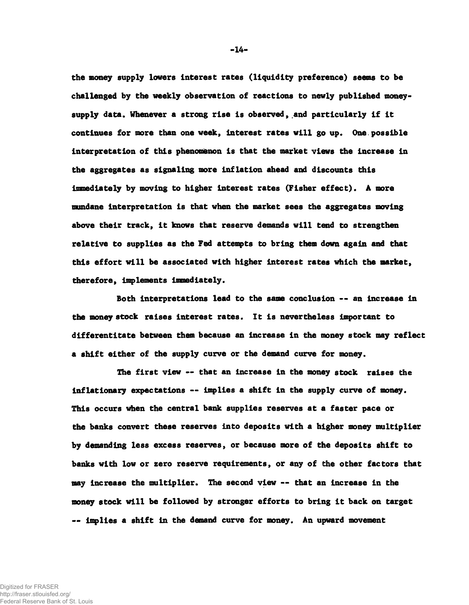**the money supply lowers interest rates (liquidity preference) seems to be challenged by the weekly observation of reactions to newly published moneysupply data. Whenever a strong rise is observed, and particularly if it continues for more than one week, interest rates will go up. One.possible interpretation of this phenomenon is that the market views the increase in the aggregates as signaling more inflation ahead and discounts this immediately by moving to higher interest rates (Fisher effect). A more mundane interpretation is that when the market sees the aggregates moving above their track, it knows that reserve demands will tend to strengthen relative to supplies as the Fed attempts to bring them down again and that this effort will be associated with higher interest rates which the market, therefore, implements immediately.**

**Both interpretations lead to the same conclusion -- an increase in the money stock raises interest rates. It is nevertheless important to differentitate between them because an increase in the money stock may reflect a shift either of the supply curve or the demand curve for money.**

**The first view — that an increase in the money stock raises the Inflationary expectations — implies a shift in the supply curve of money. This occurs when the central bank supplies reserves at a faster pace or the banks convert these reserves into deposits with a higher money multiplier by demanding less excess reserves, or because more of the deposits shift to banks with low or zero reserve requirements, or any of the other factors that may increase the multiplier. The second view — that an increase in the money stock will be followed by stronger efforts to bring it back on target — implies a shift in the demand curve for money. An upward movement**

**- 14-**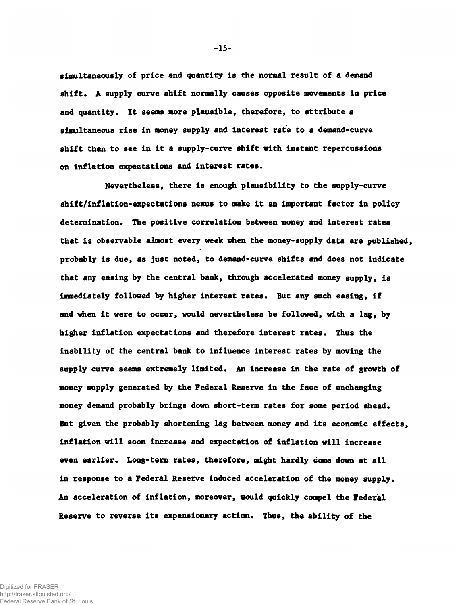**simultaneously of price and quantity is the normal result of a demand shift. A supply curve shift normally causes opposite movements in price and quantity. It seems more plausible, therefore, to attribute a simultaneous rise in money supply and interest rate to a demand-curve shift than to see in it a supply-curve shift with instant repercussions on inflation expectations and interest rates.**

**Nevertheless, there is enough plausibility to the supply-curve shift/inflation-expectations nexus to make it an important factor in policy determination. The positive correlation between money and interest rates that is observable almost every week when the money-supply data are published, probably is due, as just noted, to demand-curve shifts and does not indicate that any easing by the central bank, through accelerated money supply, is immediately followed by higher interest rates. But any such easing, if and when it were to occur, would nevertheless be followed, with a lag, by higher inflation expectations and therefore interest rates. Thus the inability of the central bank to influence interest rates by moving the supply curve seems extremely limited. An increase in the rate of growth of money supply generated by the Federal Reserve in the face of unchanging money demand probably brings down short-term rates for some period ahead. But given the probably shortening lag between money and its economic effects, inflation will soon increase and expectation of inflation will increase even earlier. Long-term rates, therefore, might hardly come down at all in response to a Federal Reserve induced acceleration of the money supply. An acceleration of inflation, moreover, would quickly compel the Federal Reserve to reverse its expansionary action. Thus, the ability of the**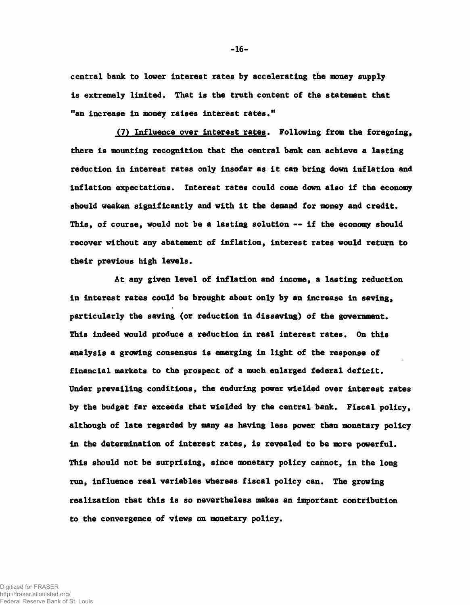**central bank to lower Interest rates by accelerating the money supply is extremely limited. That is the truth content of the statement that "an increase in money raises interest rates."**

**(7) Influence over interest rates. Following from the foregoing,** there is mounting recognition that the central bank can achieve a lasting **reduction in interest rates only insofar as it can bring down inflation and inflation expectations. Interest rates could come down also if the economy should weaken significantly and with it the demand for money and credit. This, of course, would not be a lasting solution — if the economy should recover without any abatement of inflation, interest rates would return to their previous high levels.**

**At any given level of inflation and income, a lasting reduction in interest rates could be brought about only by an increase in saving, particularly the saving (or reduction in dissaving) of the government. This indeed would produce a reduction in real interest rates. On this analysis a growing consensus is emerging in light of the response of financial markets to the prospect of a much enlarged federal deficit. Under prevailing conditions, the enduring power wielded over interest rates by the budget far exceeds that wielded by the central bank. Fiscal policy, although of late regarded by many as having less power than monetary policy in the determination of interest rates, is revealed to be more powerful. This should not be surprising, since monetary policy cannot, in the long run, influence real variables whereas fiscal policy can. The growing realization that this is so nevertheless makes an important contribution to the convergence of views on monetary policy.**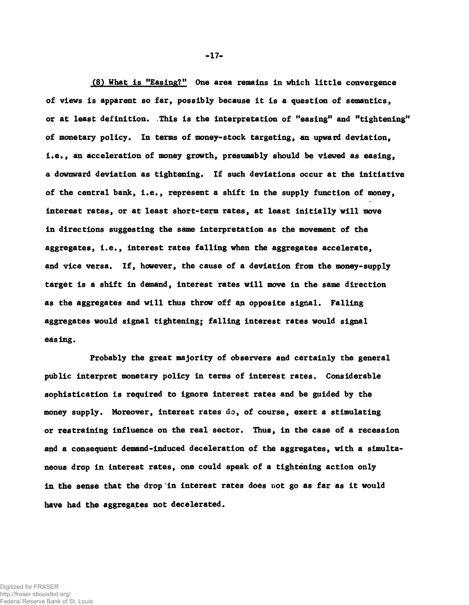**(8) What Is "Easing?11 One area remains in which little convergence of views is apparent so far, possibly because it is a question of semantics, or at least definition. .This is the interpretation of "easing" and "tightening" of monetary policy. In terms of money-stock targeting, an upward deviation, i.e., an acceleration of money growth, presumably should be viewed as easing, a downward deviation as tightening. If such deviations occur at the initiative of the central bank, i.e., represent a shift in the supply function of money, interest rates, or at least short-term rates, at least initially will move in directions suggesting the same interpretation as the movement of the aggregates, i.e., interest rates falling when the aggregates accelerate, and vice versa. If, however, the cause of a deviation from the money-supply target is a shift in demand, interest rates will move in the same direction as the aggregates and will thus throw off an opposite signal. Falling aggregates would signal tightening; falling interest rates would signal easing.**

**Probably the great majority of observers and certainly the general public interpret monetary policy in terms of interest rates. Considerable sophistication is required to ignore interest rates and be guided by the money supply. Moreover, interest rates do, of course, exert a stimulating or restraining influence on the real sector. Thus, in the case of a recession and a consequent demand-induced deceleration of the aggregates, with a simultaneous drop in interest rates, one could speak of a tightening action only in the sense that the drop'in interest rates does not go as far as it would have had the aggregates not decelerated.**

**-17-**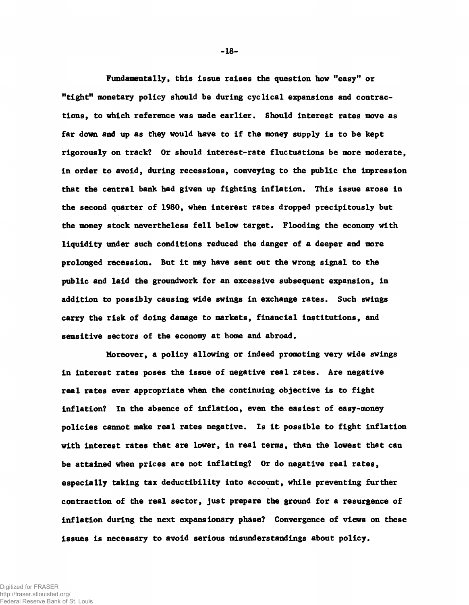**Fund amenta lly, this issue raises the question how "easy" or "tight" monetary policy should be during cyclical expansions and contractions, to which reference was made earlier. Should interest rates move as far down and up as they would have to if the money supply is to be kept rigorously on track? Or should interest-rate fluctuations be more moderate, in order to avoid, during recessions, conveying to the public the impression that the central bank had given up fighting inflation. This issue arose in the second quarter of 1980, when interest rates dropped precipitously but the money stock nevertheless fell below target. Flooding the economy with liquidity under such conditions reduced the danger of a deeper and more prolonged recession. But it may have sent out the wrong signal to the public and laid the groundwork for an excessive subsequent expansion, in addition to possibly causing wide swings in exchange rates. Such swings carry the risk of doing damage to markets, financial institutions, and sensitive sectors of the economy at home and abroad.**

**Moreover, a policy allowing or indeed promoting very wide swings in interest rates poses the issue of negative real rates. Are negative real rates ever appropriate when the continuing objective is to fight inflation? In the absence of inflation, even the easiest of easy-money policies cannot make real rates negative. Is it possible to fight inflation with interest rates that are lower, in real terms, than the lowest that can be attained when prices are not inflating? Or do negative real rates, especially taking tax deductibility into account, while preventing further contraction of the real sector, just prepare the ground for a resurgence of inflation during the next expansionary phase? Convergence of views on these issues is necessary to avoid serious misunderstandings about policy.**

**- 18-**